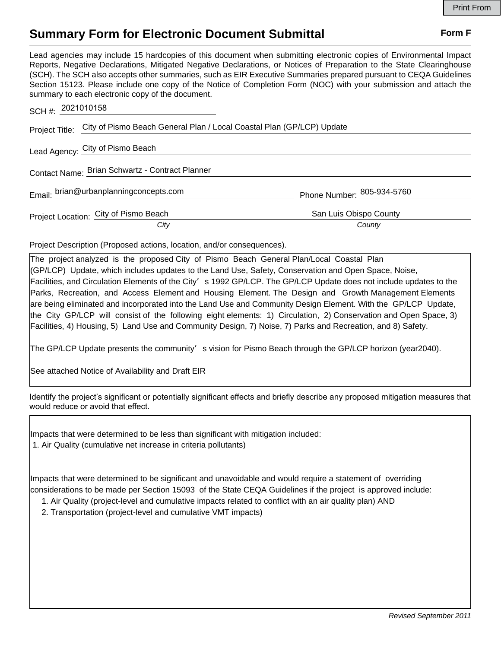## **Summary Form for Electronic Document Submittal Form F Form F**

Lead agencies may include 15 hardcopies of this document when submitting electronic copies of Environmental Impact Reports, Negative Declarations, Mitigated Negative Declarations, or Notices of Preparation to the State Clearinghouse (SCH). The SCH also accepts other summaries, such as EIR Executive Summaries prepared pursuant to CEQA Guidelines Section 15123. Please include one copy of the Notice of Completion Form (NOC) with your submission and attach the summary to each electronic copy of the document.

| SCH #: 2021010158                      |                                                                                      |                            |
|----------------------------------------|--------------------------------------------------------------------------------------|----------------------------|
|                                        | Project Title: City of Pismo Beach General Plan / Local Coastal Plan (GP/LCP) Update |                            |
| Lead Agency: City of Pismo Beach       |                                                                                      |                            |
|                                        | Contact Name: Brian Schwartz - Contract Planner                                      |                            |
| Email: brian@urbanplanningconcepts.com |                                                                                      | Phone Number: 805-934-5760 |
| Project Location: City of Pismo Beach  |                                                                                      | San Luis Obispo County     |
|                                        | City                                                                                 | County                     |

Project Description (Proposed actions, location, and/or consequences).

The project analyzed is the proposed City of Pismo Beach General Plan/Local Coastal Plan (GP/LCP) Update, which includes updates to the Land Use, Safety, Conservation and Open Space, Noise, Facilities, and Circulation Elements of the City's 1992 GP/LCP. The GP/LCP Update does not include updates to the Parks, Recreation, and Access Element and Housing Element. The Design and Growth Management Elements are being eliminated and incorporated into the Land Use and Community Design Element. With the GP/LCP Update, the City GP/LCP will consist of the following eight elements: 1) Circulation, 2) Conservation and Open Space, 3) Facilities, 4) Housing, 5) Land Use and Community Design, 7) Noise, 7) Parks and Recreation, and 8) Safety.

The GP/LCP Update presents the community' s vision for Pismo Beach through the GP/LCP horizon (year2040).

See attached Notice of Availability and Draft EIR

| Identify the project's significant or potentially significant effects and briefly describe any proposed mitigation measures that |  |  |
|----------------------------------------------------------------------------------------------------------------------------------|--|--|
| would reduce or avoid that effect.                                                                                               |  |  |

Impacts that were determined to be less than significant with mitigation included: 1. Air Quality (cumulative net increase in criteria pollutants)

Impacts that were determined to be significant and unavoidable and would require a statement of overriding considerations to be made per Section 15093 of the State CEQA Guidelines if the project is approved include:

- 1. Air Quality (project-level and cumulative impacts related to conflict with an air quality plan) AND
- 2. Transportation (project-level and cumulative VMT impacts)